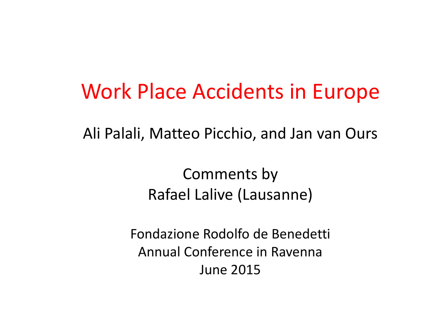#### Work Place Accidents in Europe

Ali Palali, Matteo Picchio, and Jan van Ours

Comments by Rafael Lalive (Lausanne)

Fondazione Rodolfo de Benedetti Annual Conference in Ravenna June <sup>2015</sup>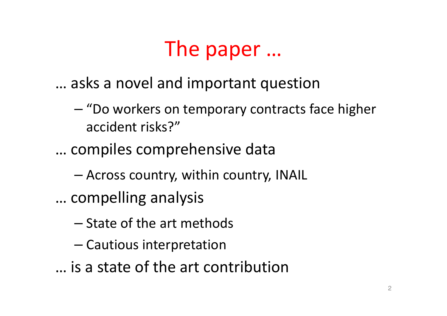### The paper …

- … asks a novel and important question
	- – "Do workers on temporary contracts face higher accident risks?"
- … compiles comprehensive data
	- –Across country, within country, INAIL
- … compelling analysis
	- – $-$  State of the art methods
	- –— Cautious interpretation
- … is a state of the art contribution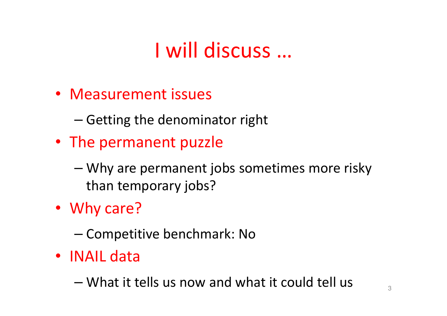# I will discuss …

- Measurement issues
	- – $-$  Getting the denominator right
- The permanent puzzle
	- – Why are permanent jobs sometimes more risky than temporary jobs?
- Why care?
	- –— Competitive benchmark: No
- INAIL data
	- –What it tells us now and what it could tell us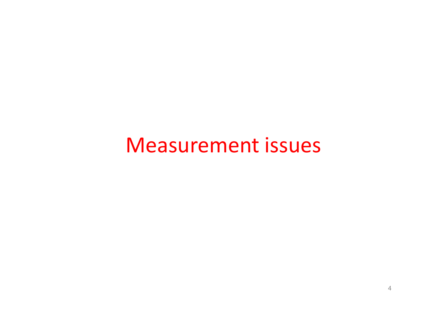#### Measurement issues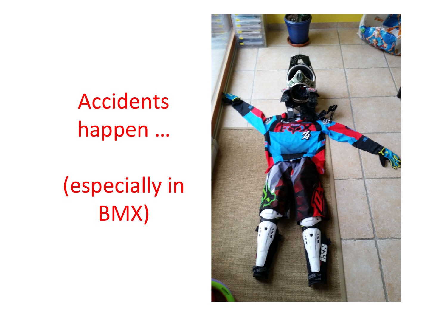# Accidents happen …

(especially in BMX)

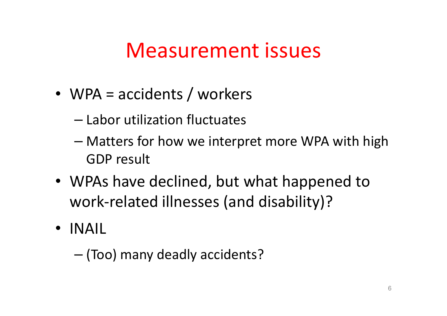### Measurement issues

- WPA = accidents / workers
	- – $-$  Labor utilization fluctuates
	- – Matters for how we interpret more WPA with high GDP result
- WPAs have declined, but what happened to work-related illnesses (and disability)?
- INAIL

–(Too) many deadly accidents?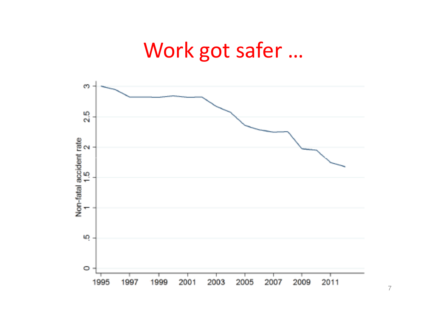### Work got safer …

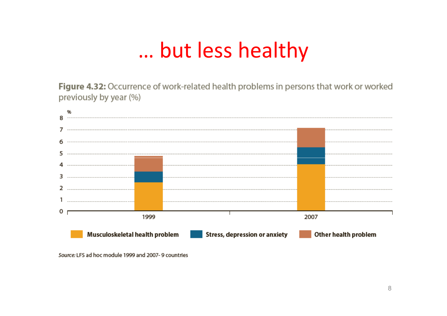### … but less healthy

Figure 4.32: Occurrence of work-related health problems in persons that work or worked previously by year (%)



Source: LFS ad hoc module 1999 and 2007-9 countries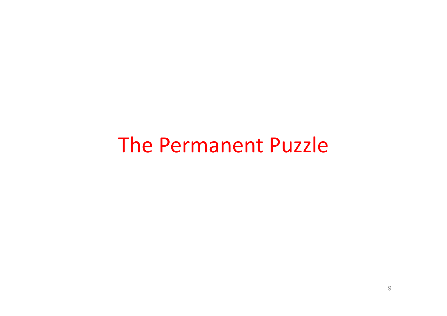#### The Permanent Puzzle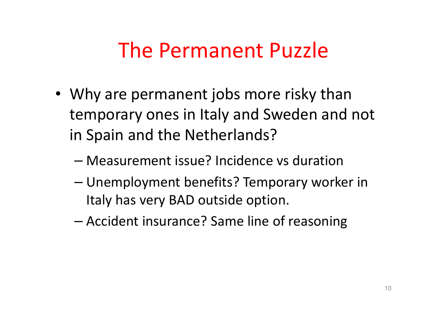### The Permanent Puzzle

- Why are permanent jobs more risky than temporary ones in Italy and Sweden and not in Spain and the Netherlands?
	- –Measurement issue? Incidence vs duration
	- – Unemployment benefits? Temporary worker in Italy has very BAD outside option.
	- –Accident insurance? Same line of reasoning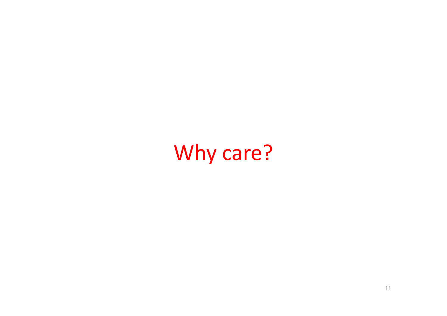# Why care?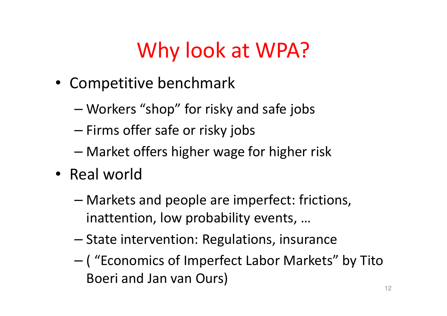# Why look at WPA?

- Competitive benchmark
	- –Workers "shop" for risky and safe jobs
	- –— Firms offer safe or risky jobs
	- –Market offers higher wage for higher risk
- Real world
	- – Markets and people are imperfect: frictions, inattention, low probability events, …
	- –— State intervention: Regulations, insurance
	- – ( "Economics of Imperfect Labor Markets" by Tito Boeri and Jan van Ours)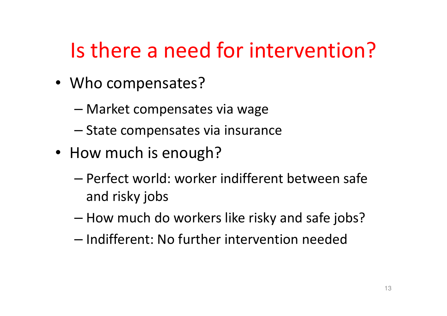## Is there a need for intervention?

- Who compensates?
	- –Market compensates via wage
	- –— State compensates via insurance
- How much is enough?
	- – Perfect world: worker indifferent between safe and risky jobs
	- – $-$  How much do workers like risky and safe jobs?
	- – $-$  Indifferent: No further intervention needed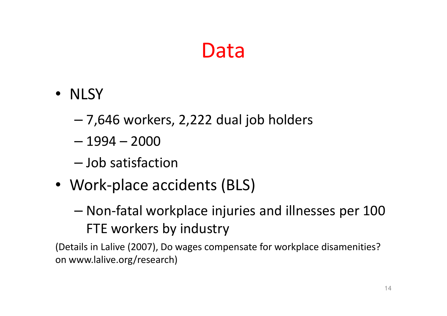### Data

- NLSY
	- –7,646 workers, 2,222 dual job holders
	- –1994 – <sup>2000</sup>
	- –— Job satisfaction
- Work-place accidents (BLS)
	- – Non-fatal workplace injuries and illnesses per 100 FTE workers by industry

(Details in Lalive (2007), Do wages compensate for workplace disamenities? on www.lalive.org/research)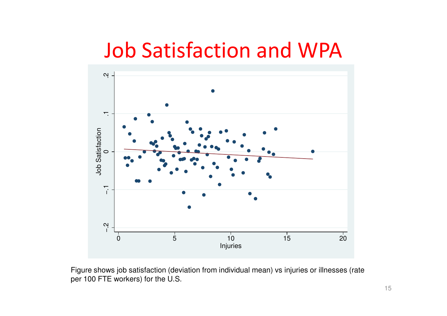### Job Satisfaction and WPA



Figure shows job satisfaction (deviation from individual mean) vs injuries or illnesses (rate per 100 FTE workers) for the U.S.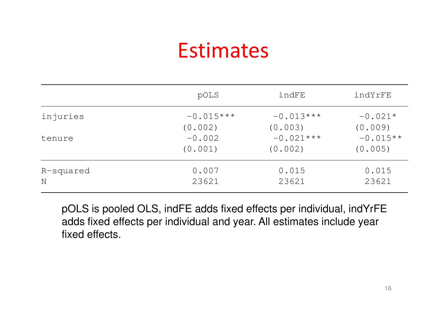### **Estimates**

|           | pOLS        | indFE       | indYrFE    |
|-----------|-------------|-------------|------------|
| injuries  | $-0.015***$ | $-0.013***$ | $-0.021*$  |
|           | (0.002)     | (0.003)     | (0.009)    |
| tenure    | $-0.002$    | $-0.021***$ | $-0.015**$ |
|           | (0.001)     | (0.002)     | (0.005)    |
| R-squared | 0.007       | 0.015       | 0.015      |
| N         | 23621       | 23621       | 23621      |

pOLS is pooled OLS, indFE adds fixed effects per individual, indYrFE adds fixed effects per individual and year. All estimates include year fixed effects.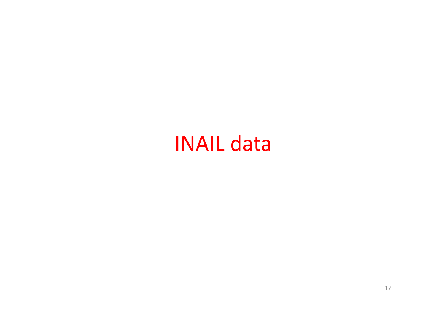### INAIL data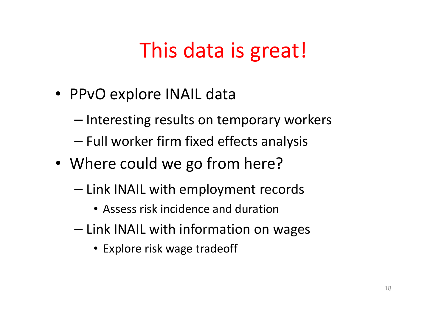# This data is great!

- PPvO explore INAIL data
	- –— Interesting results on temporary workers
	- – $-$  Full worker firm fixed effects analysis
- Where could we go from here?
	- – $-$  Link INAIL with employment records
		- Assess risk incidence and duration
	- – $-$  Link INAIL with information on wages
		- Explore risk wage tradeoff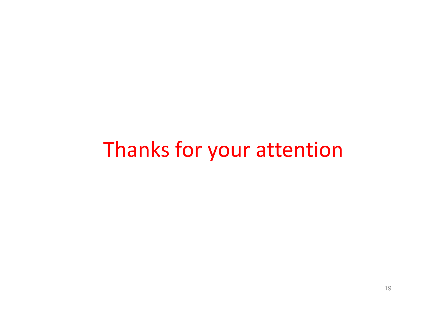#### Thanks for your attention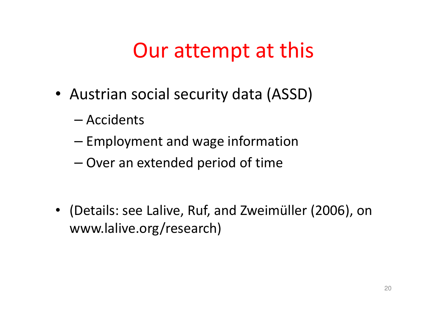### Our attempt at this

- Austrian social security data (ASSD)
	- –— Accidents
	- – $-$  Employment and wage information
	- – $-$  Over an extended period of time
- (Details: see Lalive, Ruf, and Zweimüller (2006), onwww.lalive.org/research)